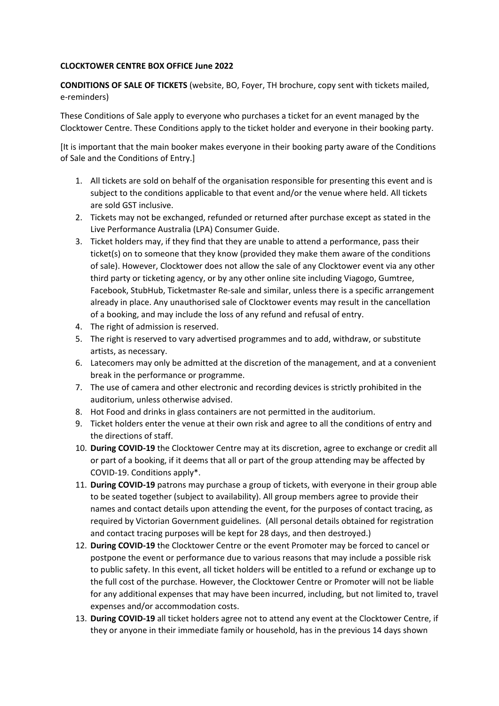## **CLOCKTOWER CENTRE BOX OFFICE June 2022**

**CONDITIONS OF SALE OF TICKETS** (website, BO, Foyer, TH brochure, copy sent with tickets mailed, e-reminders)

These Conditions of Sale apply to everyone who purchases a ticket for an event managed by the Clocktower Centre. These Conditions apply to the ticket holder and everyone in their booking party.

[It is important that the main booker makes everyone in their booking party aware of the Conditions of Sale and the Conditions of Entry.]

- 1. All tickets are sold on behalf of the organisation responsible for presenting this event and is subject to the conditions applicable to that event and/or the venue where held. All tickets are sold GST inclusive.
- 2. Tickets may not be exchanged, refunded or returned after purchase except as stated in the Live Performance Australia (LPA) Consumer Guide.
- 3. Ticket holders may, if they find that they are unable to attend a performance, pass their ticket(s) on to someone that they know (provided they make them aware of the conditions of sale). However, Clocktower does not allow the sale of any Clocktower event via any other third party or ticketing agency, or by any other online site including Viagogo, Gumtree, Facebook, StubHub, Ticketmaster Re-sale and similar, unless there is a specific arrangement already in place. Any unauthorised sale of Clocktower events may result in the cancellation of a booking, and may include the loss of any refund and refusal of entry.
- 4. The right of admission is reserved.
- 5. The right is reserved to vary advertised programmes and to add, withdraw, or substitute artists, as necessary.
- 6. Latecomers may only be admitted at the discretion of the management, and at a convenient break in the performance or programme.
- 7. The use of camera and other electronic and recording devices is strictly prohibited in the auditorium, unless otherwise advised.
- 8. Hot Food and drinks in glass containers are not permitted in the auditorium.
- 9. Ticket holders enter the venue at their own risk and agree to all the conditions of entry and the directions of staff.
- 10. **During COVID-19** the Clocktower Centre may at its discretion, agree to exchange or credit all or part of a booking, if it deems that all or part of the group attending may be affected by COVID-19. Conditions apply\*.
- 11. **During COVID-19** patrons may purchase a group of tickets, with everyone in their group able to be seated together (subject to availability). All group members agree to provide their names and contact details upon attending the event, for the purposes of contact tracing, as required by Victorian Government guidelines. (All personal details obtained for registration and contact tracing purposes will be kept for 28 days, and then destroyed.)
- 12. **During COVID-19** the Clocktower Centre or the event Promoter may be forced to cancel or postpone the event or performance due to various reasons that may include a possible risk to public safety. In this event, all ticket holders will be entitled to a refund or exchange up to the full cost of the purchase. However, the Clocktower Centre or Promoter will not be liable for any additional expenses that may have been incurred, including, but not limited to, travel expenses and/or accommodation costs.
- 13. **During COVID-19** all ticket holders agree not to attend any event at the Clocktower Centre, if they or anyone in their immediate family or household, has in the previous 14 days shown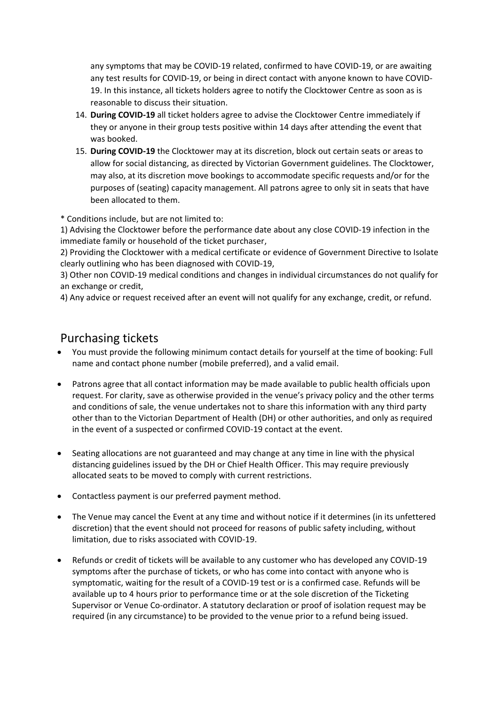any symptoms that may be COVID-19 related, confirmed to have COVID-19, or are awaiting any test results for COVID-19, or being in direct contact with anyone known to have COVID-19. In this instance, all tickets holders agree to notify the Clocktower Centre as soon as is reasonable to discuss their situation.

- 14. **During COVID-19** all ticket holders agree to advise the Clocktower Centre immediately if they or anyone in their group tests positive within 14 days after attending the event that was booked.
- 15. **During COVID-19** the Clocktower may at its discretion, block out certain seats or areas to allow for social distancing, as directed by Victorian Government guidelines. The Clocktower, may also, at its discretion move bookings to accommodate specific requests and/or for the purposes of (seating) capacity management. All patrons agree to only sit in seats that have been allocated to them.

\* Conditions include, but are not limited to:

1) Advising the Clocktower before the performance date about any close COVID-19 infection in the immediate family or household of the ticket purchaser,

2) Providing the Clocktower with a medical certificate or evidence of Government Directive to Isolate clearly outlining who has been diagnosed with COVID-19,

3) Other non COVID-19 medical conditions and changes in individual circumstances do not qualify for an exchange or credit,

4) Any advice or request received after an event will not qualify for any exchange, credit, or refund.

## Purchasing tickets

- You must provide the following minimum contact details for yourself at the time of booking: Full name and contact phone number (mobile preferred), and a valid email.
- Patrons agree that all contact information may be made available to public health officials upon request. For clarity, save as otherwise provided in the venue's privacy policy and the other terms and conditions of sale, the venue undertakes not to share this information with any third party other than to the Victorian Department of Health (DH) or other authorities, and only as required in the event of a suspected or confirmed COVID-19 contact at the event.
- Seating allocations are not guaranteed and may change at any time in line with the physical distancing guidelines issued by the DH or Chief Health Officer. This may require previously allocated seats to be moved to comply with current restrictions.
- Contactless payment is our preferred payment method.
- The Venue may cancel the Event at any time and without notice if it determines (in its unfettered discretion) that the event should not proceed for reasons of public safety including, without limitation, due to risks associated with COVID-19.
- Refunds or credit of tickets will be available to any customer who has developed any COVID-19 symptoms after the purchase of tickets, or who has come into contact with anyone who is symptomatic, waiting for the result of a COVID-19 test or is a confirmed case. Refunds will be available up to 4 hours prior to performance time or at the sole discretion of the Ticketing Supervisor or Venue Co-ordinator. A statutory declaration or proof of isolation request may be required (in any circumstance) to be provided to the venue prior to a refund being issued.